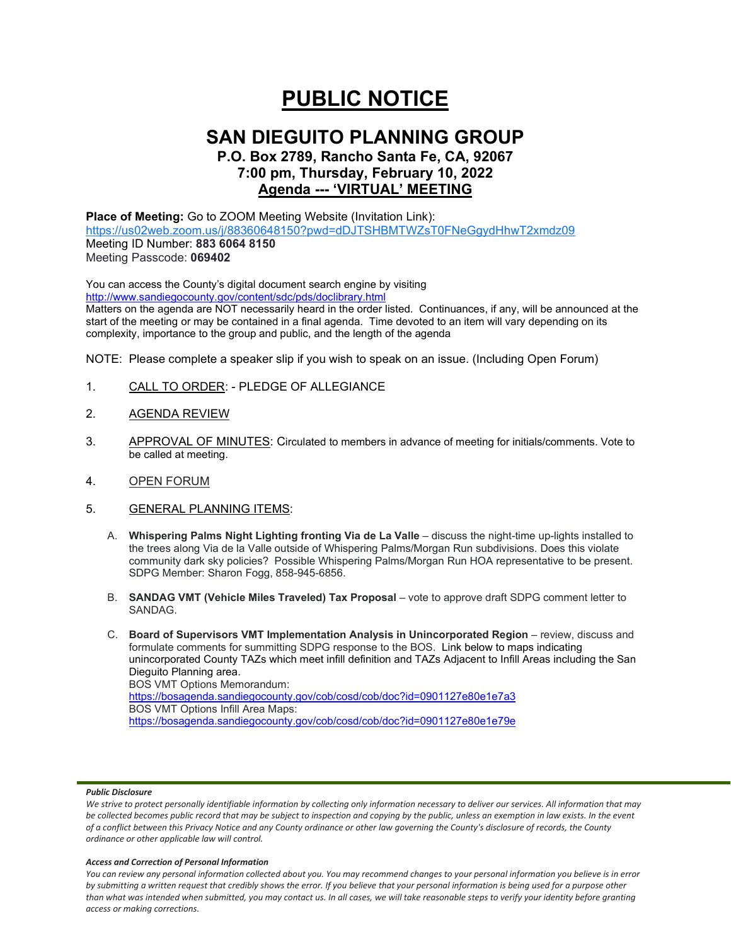# **PUBLIC NOTICE**

# **SAN DIEGUITO PLANNING GROUP**

# **P.O. Box 2789, Rancho Santa Fe, CA, 92067 7:00 pm, Thursday, February 10, 2022 Agenda --- 'VIRTUAL' MEETING**

# **Place of Meeting:** Go to ZOOM Meeting Website (Invitation Link): <https://us02web.zoom.us/j/88360648150?pwd=dDJTSHBMTWZsT0FNeGgydHhwT2xmdz09> Meeting ID Number: **883 6064 8150**

Meeting Passcode: **069402**

You can access the County's digital document search engine by visiting <http://www.sandiegocounty.gov/content/sdc/pds/doclibrary.html>

Matters on the agenda are NOT necessarily heard in the order listed. Continuances, if any, will be announced at the start of the meeting or may be contained in a final agenda. Time devoted to an item will vary depending on its complexity, importance to the group and public, and the length of the agenda

NOTE: Please complete a speaker slip if you wish to speak on an issue. (Including Open Forum)

- 1. CALL TO ORDER: PLEDGE OF ALLEGIANCE
- 2. AGENDA REVIEW
- 3. APPROVAL OF MINUTES: Circulated to members in advance of meeting for initials/comments. Vote to be called at meeting.
- 4. OPEN FORUM
- 5. GENERAL PLANNING ITEMS:
	- A. **Whispering Palms Night Lighting fronting Via de La Valle** discuss the night-time up-lights installed to the trees along Via de la Valle outside of Whispering Palms/Morgan Run subdivisions. Does this violate community dark sky policies? Possible Whispering Palms/Morgan Run HOA representative to be present. SDPG Member: Sharon Fogg, 858-945-6856.
	- B. **SANDAG VMT (Vehicle Miles Traveled) Tax Proposal** vote to approve draft SDPG comment letter to SANDAG.
	- C. **Board of Supervisors VMT Implementation Analysis in Unincorporated Region** review, discuss and formulate comments for summitting SDPG response to the BOS. Link below to maps indicating unincorporated County TAZs which meet infill definition and TAZs Adjacent to Infill Areas including the San Dieguito Planning area. BOS VMT Options Memorandum: <https://bosagenda.sandiegocounty.gov/cob/cosd/cob/doc?id=0901127e80e1e7a3> BOS VMT Options Infill Area Maps: <https://bosagenda.sandiegocounty.gov/cob/cosd/cob/doc?id=0901127e80e1e79e>

## *Public Disclosure*

#### *Access and Correction of Personal Information*

*You can review any personal information collected about you. You may recommend changes to your personal information you believe is in error by submitting a written request that credibly shows the error. If you believe that your personal information is being used for a purpose other than what was intended when submitted, you may contact us. In all cases, we will take reasonable steps to verify your identity before granting access or making corrections.*

We strive to protect personally identifiable information by collecting only information necessary to deliver our services. All information that may *be collected becomes public record that may be subject to inspection and copying by the public, unless an exemption in law exists. In the event of a conflict between this Privacy Notice and any County ordinance or other law governing the County's disclosure of records, the County ordinance or other applicable law will control.*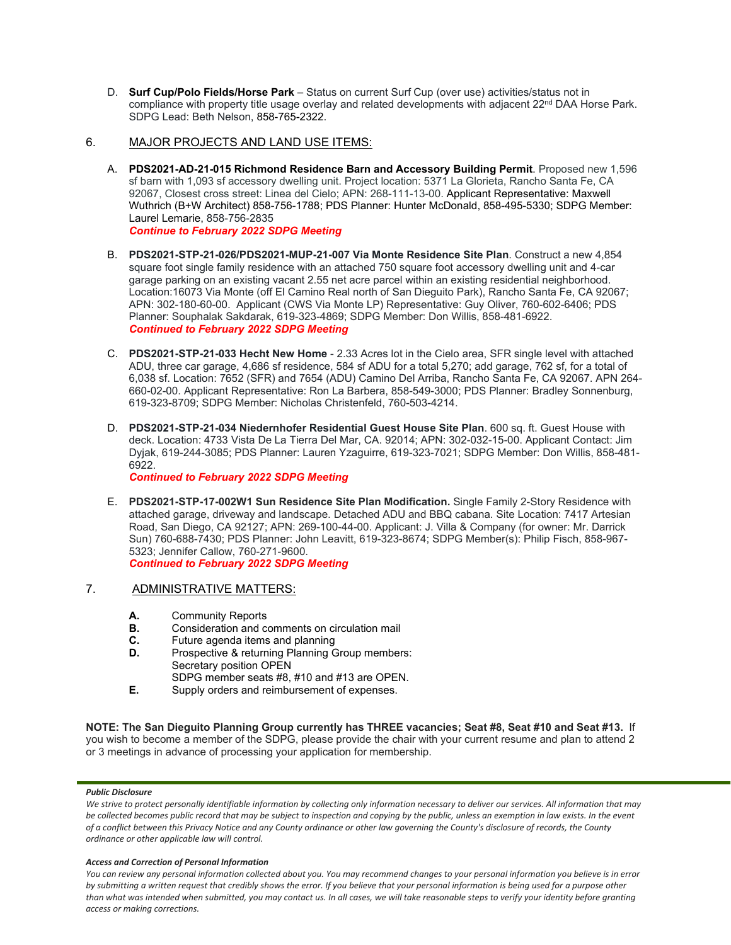D. **Surf Cup/Polo Fields/Horse Park** – Status on current Surf Cup (over use) activities/status not in compliance with property title usage overlay and related developments with adjacent 22<sup>nd</sup> DAA Horse Park. SDPG Lead: Beth Nelson, 858-765-2322.

# 6. MAJOR PROJECTS AND LAND USE ITEMS:

- A. **PDS2021-AD-21-015 Richmond Residence Barn and Accessory Building Permit**. Proposed new 1,596 sf barn with 1,093 sf accessory dwelling unit. Project location: 5371 La Glorieta, Rancho Santa Fe, CA 92067, Closest cross street: Linea del Cielo; APN: 268-111-13-00. Applicant Representative: Maxwell Wuthrich (B+W Architect) 858-756-1788; PDS Planner: Hunter McDonald, 858-495-5330; SDPG Member: Laurel Lemarie, 858-756-2835 *Continue to February 2022 SDPG Meeting*
- B. **PDS2021-STP-21-026/PDS2021-MUP-21-007 Via Monte Residence Site Plan**. Construct a new 4,854 square foot single family residence with an attached 750 square foot accessory dwelling unit and 4-car garage parking on an existing vacant 2.55 net acre parcel within an existing residential neighborhood. Location:16073 Via Monte (off El Camino Real north of San Dieguito Park), Rancho Santa Fe, CA 92067; APN: 302-180-60-00. Applicant (CWS Via Monte LP) Representative: Guy Oliver, 760-602-6406; PDS Planner: Souphalak Sakdarak, 619-323-4869; SDPG Member: Don Willis, 858-481-6922. *Continued to February 2022 SDPG Meeting*
- C. **PDS2021-STP-21-033 Hecht New Home** 2.33 Acres lot in the Cielo area, SFR single level with attached ADU, three car garage, 4,686 sf residence, 584 sf ADU for a total 5,270; add garage, 762 sf, for a total of 6,038 sf. Location: 7652 (SFR) and 7654 (ADU) Camino Del Arriba, Rancho Santa Fe, CA 92067. APN 264- 660-02-00. Applicant Representative: Ron La Barbera, 858-549-3000; PDS Planner: Bradley Sonnenburg, 619-323-8709; SDPG Member: Nicholas Christenfeld, 760-503-4214.
- D. **PDS2021-STP-21-034 Niedernhofer Residential Guest House Site Plan**. 600 sq. ft. Guest House with deck. Location: 4733 Vista De La Tierra Del Mar, CA. 92014; APN: 302-032-15-00. Applicant Contact: Jim Dyjak, 619-244-3085; PDS Planner: Lauren Yzaguirre, 619-323-7021; SDPG Member: Don Willis, 858-481- 6922.

*Continued to February 2022 SDPG Meeting*

E. **PDS2021-STP-17-002W1 Sun Residence Site Plan Modification.** Single Family 2-Story Residence with attached garage, driveway and landscape. Detached ADU and BBQ cabana. Site Location: 7417 Artesian Road, San Diego, CA 92127; APN: 269-100-44-00. Applicant: J. Villa & Company (for owner: Mr. Darrick Sun) 760-688-7430; PDS Planner: John Leavitt, 619-323-8674; SDPG Member(s): Philip Fisch, 858-967- 5323; Jennifer Callow, 760-271-9600.

*Continued to February 2022 SDPG Meeting*

# 7. ADMINISTRATIVE MATTERS:

- **A.** Community Reports<br>**B.** Consideration and co
- **B.** Consideration and comments on circulation mail<br>**C.** Future agenda items and planning
- **C.** Future agenda items and planning<br>**D.** Prospective & returning Planning G.
- Prospective & returning Planning Group members: Secretary position OPEN
- SDPG member seats #8, #10 and #13 are OPEN.
- **E.** Supply orders and reimbursement of expenses.

**NOTE: The San Dieguito Planning Group currently has THREE vacancies; Seat #8, Seat #10 and Seat #13.** If you wish to become a member of the SDPG, please provide the chair with your current resume and plan to attend 2 or 3 meetings in advance of processing your application for membership.

### *Public Disclosure*

We strive to protect personally identifiable information by collecting only information necessary to deliver our services. All information that may *be collected becomes public record that may be subject to inspection and copying by the public, unless an exemption in law exists. In the event of a conflict between this Privacy Notice and any County ordinance or other law governing the County's disclosure of records, the County ordinance or other applicable law will control.*

#### *Access and Correction of Personal Information*

*You can review any personal information collected about you. You may recommend changes to your personal information you believe is in error by submitting a written request that credibly shows the error. If you believe that your personal information is being used for a purpose other than what was intended when submitted, you may contact us. In all cases, we will take reasonable steps to verify your identity before granting access or making corrections.*